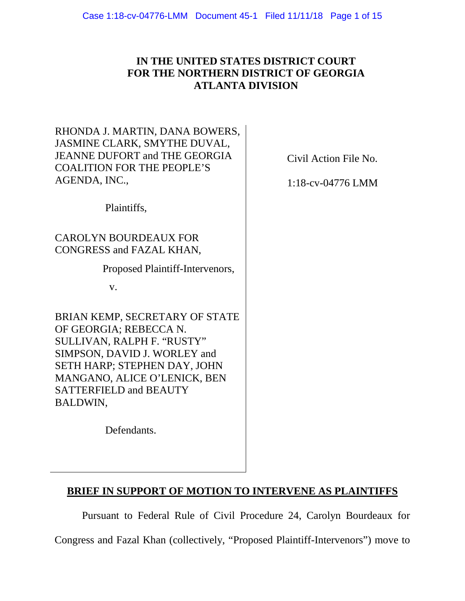# **IN THE UNITED STATES DISTRICT COURT FOR THE NORTHERN DISTRICT OF GEORGIA ATLANTA DIVISION**

| RHONDA J. MARTIN, DANA BOWERS,<br>JASMINE CLARK, SMYTHE DUVAL,<br><b>JEANNE DUFORT and THE GEORGIA</b><br><b>COALITION FOR THE PEOPLE'S</b><br>AGENDA, INC.,                                                                        | Civil Action File No.<br>$1:18$ -cv-04776 LMM |
|-------------------------------------------------------------------------------------------------------------------------------------------------------------------------------------------------------------------------------------|-----------------------------------------------|
| Plaintiffs,                                                                                                                                                                                                                         |                                               |
| CAROLYN BOURDEAUX FOR<br>CONGRESS and FAZAL KHAN,<br>Proposed Plaintiff-Intervenors,                                                                                                                                                |                                               |
| V.                                                                                                                                                                                                                                  |                                               |
|                                                                                                                                                                                                                                     |                                               |
| BRIAN KEMP, SECRETARY OF STATE<br>OF GEORGIA; REBECCA N.<br>SULLIVAN, RALPH F. "RUSTY"<br>SIMPSON, DAVID J. WORLEY and<br>SETH HARP; STEPHEN DAY, JOHN<br>MANGANO, ALICE O'LENICK, BEN<br><b>SATTERFIELD and BEAUTY</b><br>BALDWIN, |                                               |
| Defendants.                                                                                                                                                                                                                         |                                               |

# **BRIEF IN SUPPORT OF MOTION TO INTERVENE AS PLAINTIFFS**

Pursuant to Federal Rule of Civil Procedure 24, Carolyn Bourdeaux for

Congress and Fazal Khan (collectively, "Proposed Plaintiff-Intervenors") move to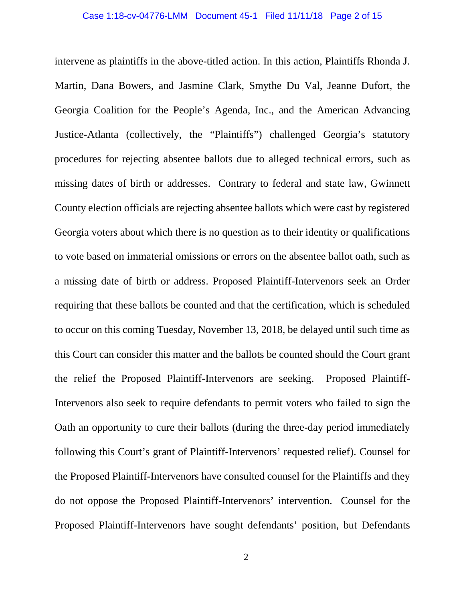intervene as plaintiffs in the above-titled action. In this action, Plaintiffs Rhonda J. Martin, Dana Bowers, and Jasmine Clark, Smythe Du Val, Jeanne Dufort, the Georgia Coalition for the People's Agenda, Inc., and the American Advancing Justice-Atlanta (collectively, the "Plaintiffs") challenged Georgia's statutory procedures for rejecting absentee ballots due to alleged technical errors, such as missing dates of birth or addresses. Contrary to federal and state law, Gwinnett County election officials are rejecting absentee ballots which were cast by registered Georgia voters about which there is no question as to their identity or qualifications to vote based on immaterial omissions or errors on the absentee ballot oath, such as a missing date of birth or address. Proposed Plaintiff-Intervenors seek an Order requiring that these ballots be counted and that the certification, which is scheduled to occur on this coming Tuesday, November 13, 2018, be delayed until such time as this Court can consider this matter and the ballots be counted should the Court grant the relief the Proposed Plaintiff-Intervenors are seeking. Proposed Plaintiff-Intervenors also seek to require defendants to permit voters who failed to sign the Oath an opportunity to cure their ballots (during the three-day period immediately following this Court's grant of Plaintiff-Intervenors' requested relief). Counsel for the Proposed Plaintiff-Intervenors have consulted counsel for the Plaintiffs and they do not oppose the Proposed Plaintiff-Intervenors' intervention. Counsel for the Proposed Plaintiff-Intervenors have sought defendants' position, but Defendants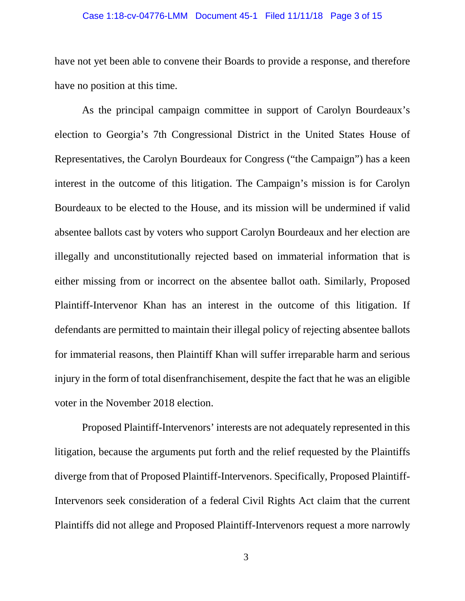#### Case 1:18-cv-04776-LMM Document 45-1 Filed 11/11/18 Page 3 of 15

have not yet been able to convene their Boards to provide a response, and therefore have no position at this time.

As the principal campaign committee in support of Carolyn Bourdeaux's election to Georgia's 7th Congressional District in the United States House of Representatives, the Carolyn Bourdeaux for Congress ("the Campaign") has a keen interest in the outcome of this litigation. The Campaign's mission is for Carolyn Bourdeaux to be elected to the House, and its mission will be undermined if valid absentee ballots cast by voters who support Carolyn Bourdeaux and her election are illegally and unconstitutionally rejected based on immaterial information that is either missing from or incorrect on the absentee ballot oath. Similarly, Proposed Plaintiff-Intervenor Khan has an interest in the outcome of this litigation. If defendants are permitted to maintain their illegal policy of rejecting absentee ballots for immaterial reasons, then Plaintiff Khan will suffer irreparable harm and serious injury in the form of total disenfranchisement, despite the fact that he was an eligible voter in the November 2018 election.

Proposed Plaintiff-Intervenors' interests are not adequately represented in this litigation, because the arguments put forth and the relief requested by the Plaintiffs diverge from that of Proposed Plaintiff-Intervenors. Specifically, Proposed Plaintiff-Intervenors seek consideration of a federal Civil Rights Act claim that the current Plaintiffs did not allege and Proposed Plaintiff-Intervenors request a more narrowly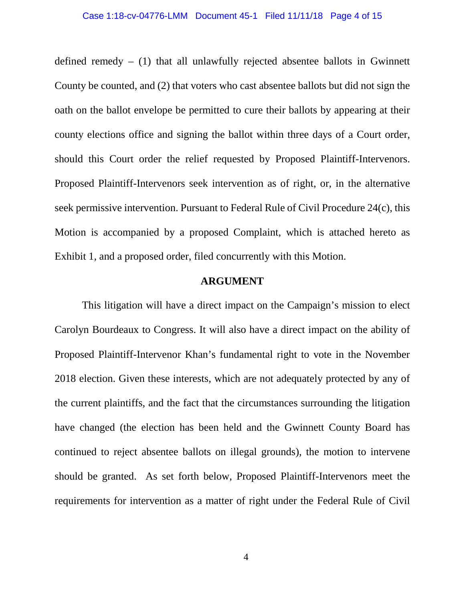defined remedy  $-$  (1) that all unlawfully rejected absentee ballots in Gwinnett County be counted, and (2) that voters who cast absentee ballots but did not sign the oath on the ballot envelope be permitted to cure their ballots by appearing at their county elections office and signing the ballot within three days of a Court order, should this Court order the relief requested by Proposed Plaintiff-Intervenors. Proposed Plaintiff-Intervenors seek intervention as of right, or, in the alternative seek permissive intervention. Pursuant to Federal Rule of Civil Procedure 24(c), this Motion is accompanied by a proposed Complaint, which is attached hereto as Exhibit 1, and a proposed order, filed concurrently with this Motion.

#### **ARGUMENT**

This litigation will have a direct impact on the Campaign's mission to elect Carolyn Bourdeaux to Congress. It will also have a direct impact on the ability of Proposed Plaintiff-Intervenor Khan's fundamental right to vote in the November 2018 election. Given these interests, which are not adequately protected by any of the current plaintiffs, and the fact that the circumstances surrounding the litigation have changed (the election has been held and the Gwinnett County Board has continued to reject absentee ballots on illegal grounds), the motion to intervene should be granted. As set forth below, Proposed Plaintiff-Intervenors meet the requirements for intervention as a matter of right under the Federal Rule of Civil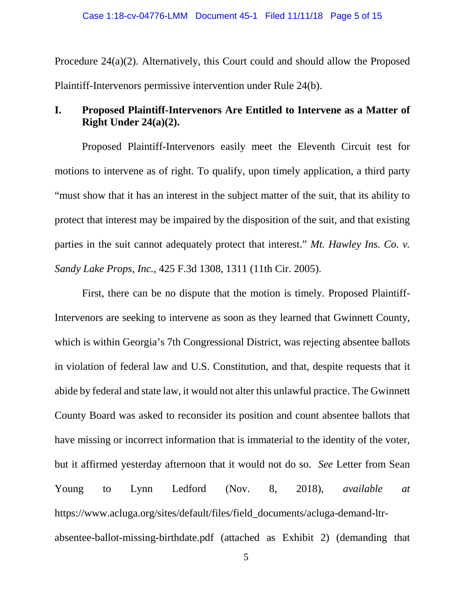Procedure 24(a)(2). Alternatively, this Court could and should allow the Proposed Plaintiff-Intervenors permissive intervention under Rule 24(b).

## **I. Proposed Plaintiff-Intervenors Are Entitled to Intervene as a Matter of Right Under 24(a)(2).**

Proposed Plaintiff-Intervenors easily meet the Eleventh Circuit test for motions to intervene as of right. To qualify, upon timely application, a third party "must show that it has an interest in the subject matter of the suit, that its ability to protect that interest may be impaired by the disposition of the suit, and that existing parties in the suit cannot adequately protect that interest." *Mt. Hawley Ins. Co. v. Sandy Lake Props, Inc.*, 425 F.3d 1308, 1311 (11th Cir. 2005).

First, there can be no dispute that the motion is timely. Proposed Plaintiff-Intervenors are seeking to intervene as soon as they learned that Gwinnett County, which is within Georgia's 7th Congressional District, was rejecting absentee ballots in violation of federal law and U.S. Constitution, and that, despite requests that it abide by federal and state law, it would not alter this unlawful practice. The Gwinnett County Board was asked to reconsider its position and count absentee ballots that have missing or incorrect information that is immaterial to the identity of the voter, but it affirmed yesterday afternoon that it would not do so. *See* Letter from Sean Young to Lynn Ledford (Nov. 8, 2018), *available at* https://www.acluga.org/sites/default/files/field\_documents/acluga-demand-ltrabsentee-ballot-missing-birthdate.pdf (attached as Exhibit 2) (demanding that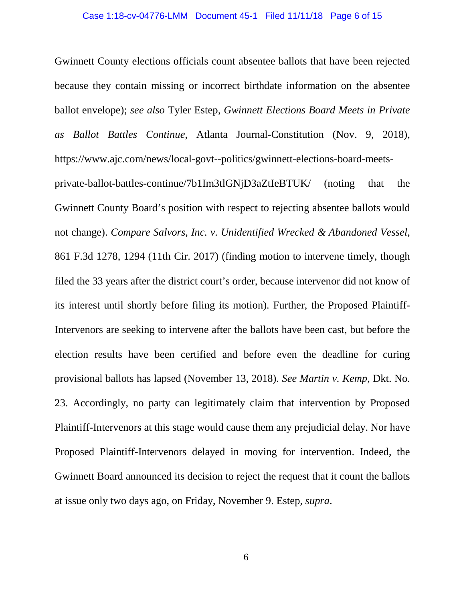Gwinnett County elections officials count absentee ballots that have been rejected because they contain missing or incorrect birthdate information on the absentee ballot envelope); *see also* Tyler Estep, *Gwinnett Elections Board Meets in Private as Ballot Battles Continue*, Atlanta Journal-Constitution (Nov. 9, 2018), [https://www.ajc.com/news/local-govt--politics/gwinnett-elections-board-meets-](https://www.ajc.com/news/local-govt--politics/gwinnett-elections-board-meets-private-ballot-battles-continue/7b1Im3tlGNjD3aZtIeBTUK/)

[private-ballot-battles-continue/7b1Im3tlGNjD3aZtIeBTUK/](https://www.ajc.com/news/local-govt--politics/gwinnett-elections-board-meets-private-ballot-battles-continue/7b1Im3tlGNjD3aZtIeBTUK/) (noting that the Gwinnett County Board's position with respect to rejecting absentee ballots would not change). *Compare Salvors, Inc. v. Unidentified Wrecked & Abandoned Vessel*, 861 F.3d 1278, 1294 (11th Cir. 2017) (finding motion to intervene timely, though filed the 33 years after the district court's order, because intervenor did not know of its interest until shortly before filing its motion). Further, the Proposed Plaintiff-Intervenors are seeking to intervene after the ballots have been cast, but before the election results have been certified and before even the deadline for curing provisional ballots has lapsed (November 13, 2018). *See Martin v. Kemp*, Dkt. No. 23. Accordingly, no party can legitimately claim that intervention by Proposed Plaintiff-Intervenors at this stage would cause them any prejudicial delay. Nor have Proposed Plaintiff-Intervenors delayed in moving for intervention. Indeed, the Gwinnett Board announced its decision to reject the request that it count the ballots at issue only two days ago, on Friday, November 9. Estep, *supra*.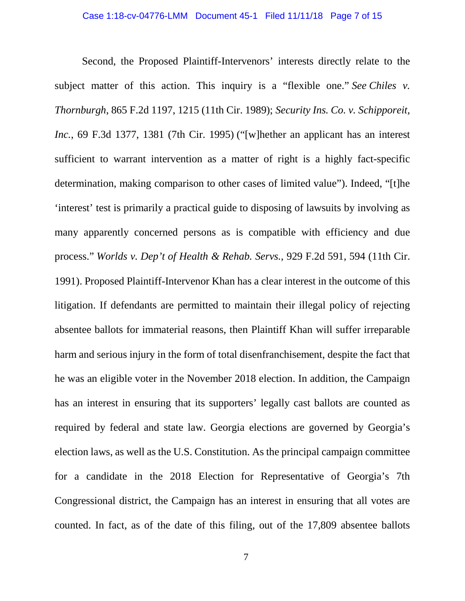Second, the Proposed Plaintiff-Intervenors' interests directly relate to the subject matter of this action. This inquiry is a "flexible one." *See Chiles v. Thornburgh*, 865 F.2d 1197, 1215 (11th Cir. 1989); *Security Ins. Co. v. Schipporeit, Inc.*, 69 F.3d 1377, 1381 (7th Cir. 1995) ("[w]hether an applicant has an interest sufficient to warrant intervention as a matter of right is a highly fact-specific determination, making comparison to other cases of limited value"). Indeed, "[t]he 'interest' test is primarily a practical guide to disposing of lawsuits by involving as many apparently concerned persons as is compatible with efficiency and due process." *Worlds v. Dep't of Health & Rehab. Servs.*, 929 F.2d 591, 594 (11th Cir. 1991). Proposed Plaintiff-Intervenor Khan has a clear interest in the outcome of this litigation. If defendants are permitted to maintain their illegal policy of rejecting absentee ballots for immaterial reasons, then Plaintiff Khan will suffer irreparable harm and serious injury in the form of total disenfranchisement, despite the fact that he was an eligible voter in the November 2018 election. In addition, the Campaign has an interest in ensuring that its supporters' legally cast ballots are counted as required by federal and state law. Georgia elections are governed by Georgia's election laws, as well as the U.S. Constitution. As the principal campaign committee for a candidate in the 2018 Election for Representative of Georgia's 7th Congressional district, the Campaign has an interest in ensuring that all votes are counted. In fact, as of the date of this filing, out of the 17,809 absentee ballots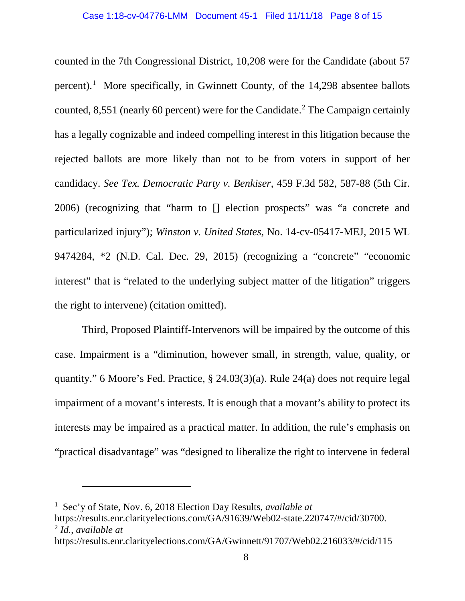counted in the 7th Congressional District, 10,208 were for the Candidate (about 57 percent).<sup>[1](#page-7-0)</sup> More specifically, in Gwinnett County, of the  $14,298$  absentee ballots counted, 8,551 (nearly 60 percent) were for the Candidate.<sup>[2](#page-7-1)</sup> The Campaign certainly has a legally cognizable and indeed compelling interest in this litigation because the rejected ballots are more likely than not to be from voters in support of her candidacy. *See Tex. Democratic Party v. Benkiser*, 459 F.3d 582, 587-88 (5th Cir. 2006) (recognizing that "harm to [] election prospects" was "a concrete and particularized injury"); *Winston v. United States*, No. 14-cv-05417-MEJ, 2015 WL 9474284, \*2 (N.D. Cal. Dec. 29, 2015) (recognizing a "concrete" "economic interest" that is "related to the underlying subject matter of the litigation" triggers the right to intervene) (citation omitted).

Third, Proposed Plaintiff-Intervenors will be impaired by the outcome of this case. Impairment is a "diminution, however small, in strength, value, quality, or quantity." 6 Moore's Fed. Practice, § 24.03(3)(a). Rule 24(a) does not require legal impairment of a movant's interests. It is enough that a movant's ability to protect its interests may be impaired as a practical matter. In addition, the rule's emphasis on "practical disadvantage" was "designed to liberalize the right to intervene in federal

<span id="page-7-1"></span><span id="page-7-0"></span>1 Sec'y of State, Nov. 6, 2018 Election Day Results, *available at* https://results.enr.clarityelections.com/GA/91639/Web02-state.220747/#/cid/30700. <sup>2</sup> *Id.*, *available at* https://results.enr.clarityelections.com/GA/Gwinnett/91707/Web02.216033/#/cid/115

 $\overline{a}$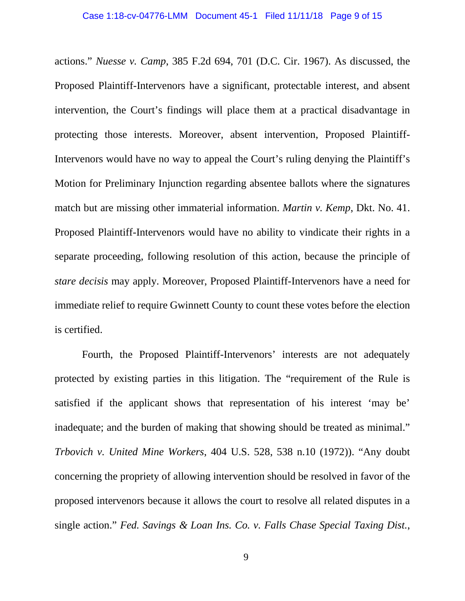actions." *Nuesse v. Camp*, 385 F.2d 694, 701 (D.C. Cir. 1967). As discussed, the Proposed Plaintiff-Intervenors have a significant, protectable interest, and absent intervention, the Court's findings will place them at a practical disadvantage in protecting those interests. Moreover, absent intervention, Proposed Plaintiff-Intervenors would have no way to appeal the Court's ruling denying the Plaintiff's Motion for Preliminary Injunction regarding absentee ballots where the signatures match but are missing other immaterial information. *Martin v. Kemp*, Dkt. No. 41. Proposed Plaintiff-Intervenors would have no ability to vindicate their rights in a separate proceeding, following resolution of this action, because the principle of *stare decisis* may apply. Moreover, Proposed Plaintiff-Intervenors have a need for immediate relief to require Gwinnett County to count these votes before the election is certified.

Fourth, the Proposed Plaintiff-Intervenors' interests are not adequately protected by existing parties in this litigation. The "requirement of the Rule is satisfied if the applicant shows that representation of his interest 'may be' inadequate; and the burden of making that showing should be treated as minimal." *Trbovich v. United Mine Workers*, 404 U.S. 528, 538 n.10 (1972)). "Any doubt concerning the propriety of allowing intervention should be resolved in favor of the proposed intervenors because it allows the court to resolve all related disputes in a single action." *Fed. Savings & Loan Ins. Co. v. Falls Chase Special Taxing Dist.*,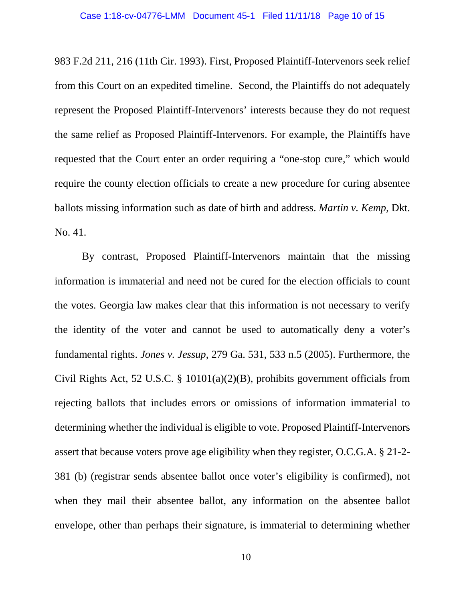983 F.2d 211, 216 (11th Cir. 1993). First, Proposed Plaintiff-Intervenors seek relief from this Court on an expedited timeline. Second, the Plaintiffs do not adequately represent the Proposed Plaintiff-Intervenors' interests because they do not request the same relief as Proposed Plaintiff-Intervenors. For example, the Plaintiffs have requested that the Court enter an order requiring a "one-stop cure," which would require the county election officials to create a new procedure for curing absentee ballots missing information such as date of birth and address. *Martin v. Kemp*, Dkt. No. 41.

By contrast, Proposed Plaintiff-Intervenors maintain that the missing information is immaterial and need not be cured for the election officials to count the votes. Georgia law makes clear that this information is not necessary to verify the identity of the voter and cannot be used to automatically deny a voter's fundamental rights. *Jones v. Jessup*, 279 Ga. 531, 533 n.5 (2005). Furthermore, the Civil Rights Act, 52 U.S.C. § 10101(a)(2)(B), prohibits government officials from rejecting ballots that includes errors or omissions of information immaterial to determining whether the individual is eligible to vote. Proposed Plaintiff-Intervenors assert that because voters prove age eligibility when they register, O.C.G.A. § 21-2- 381 (b) (registrar sends absentee ballot once voter's eligibility is confirmed), not when they mail their absentee ballot, any information on the absentee ballot envelope, other than perhaps their signature, is immaterial to determining whether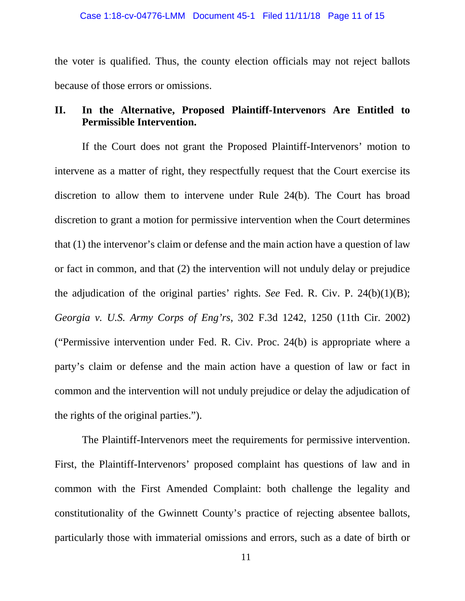the voter is qualified. Thus, the county election officials may not reject ballots because of those errors or omissions.

#### **II. In the Alternative, Proposed Plaintiff-Intervenors Are Entitled to Permissible Intervention.**

If the Court does not grant the Proposed Plaintiff-Intervenors' motion to intervene as a matter of right, they respectfully request that the Court exercise its discretion to allow them to intervene under Rule 24(b). The Court has broad discretion to grant a motion for permissive intervention when the Court determines that (1) the intervenor's claim or defense and the main action have a question of law or fact in common, and that (2) the intervention will not unduly delay or prejudice the adjudication of the original parties' rights. *See* Fed. R. Civ. P. 24(b)(1)(B); *Georgia v. U.S. Army Corps of Eng'rs*, 302 F.3d 1242, 1250 (11th Cir. 2002) ("Permissive intervention under Fed. R. Civ. Proc. 24(b) is appropriate where a party's claim or defense and the main action have a question of law or fact in common and the intervention will not unduly prejudice or delay the adjudication of the rights of the original parties.").

The Plaintiff-Intervenors meet the requirements for permissive intervention. First, the Plaintiff-Intervenors' proposed complaint has questions of law and in common with the First Amended Complaint: both challenge the legality and constitutionality of the Gwinnett County's practice of rejecting absentee ballots, particularly those with immaterial omissions and errors, such as a date of birth or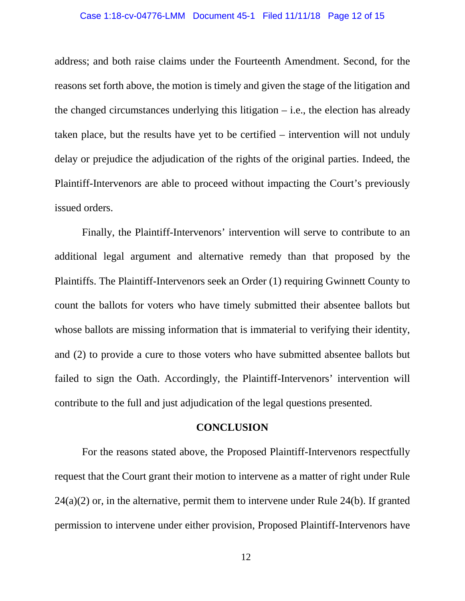#### Case 1:18-cv-04776-LMM Document 45-1 Filed 11/11/18 Page 12 of 15

address; and both raise claims under the Fourteenth Amendment. Second, for the reasons set forth above, the motion is timely and given the stage of the litigation and the changed circumstances underlying this litigation  $-$  i.e., the election has already taken place, but the results have yet to be certified – intervention will not unduly delay or prejudice the adjudication of the rights of the original parties. Indeed, the Plaintiff-Intervenors are able to proceed without impacting the Court's previously issued orders.

Finally, the Plaintiff-Intervenors' intervention will serve to contribute to an additional legal argument and alternative remedy than that proposed by the Plaintiffs. The Plaintiff-Intervenors seek an Order (1) requiring Gwinnett County to count the ballots for voters who have timely submitted their absentee ballots but whose ballots are missing information that is immaterial to verifying their identity, and (2) to provide a cure to those voters who have submitted absentee ballots but failed to sign the Oath. Accordingly, the Plaintiff-Intervenors' intervention will contribute to the full and just adjudication of the legal questions presented.

#### **CONCLUSION**

For the reasons stated above, the Proposed Plaintiff-Intervenors respectfully request that the Court grant their motion to intervene as a matter of right under Rule  $24(a)(2)$  or, in the alternative, permit them to intervene under Rule 24(b). If granted permission to intervene under either provision, Proposed Plaintiff-Intervenors have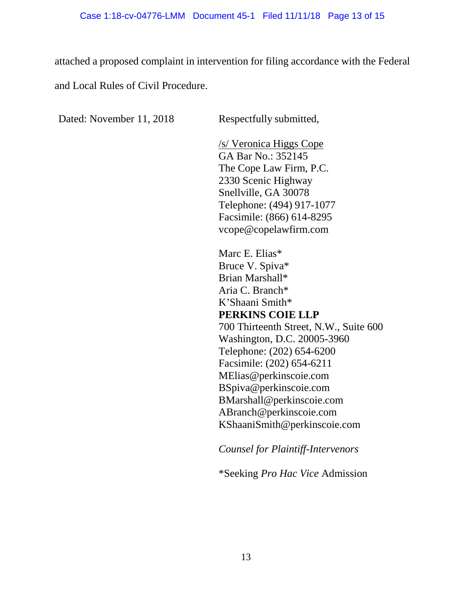attached a proposed complaint in intervention for filing accordance with the Federal and Local Rules of Civil Procedure.

Dated: November 11, 2018 Respectfully submitted,

/s/ Veronica Higgs Cope GA Bar No.: 352145 The Cope Law Firm, P.C. 2330 Scenic Highway Snellville, GA 30078 Telephone: (494) 917-1077 Facsimile: (866) 614-8295 vcope@copelawfirm.com

Marc E. Elias\* Bruce V. Spiva\* Brian Marshall\* Aria C. Branch\* K'Shaani Smith\* **PERKINS COIE LLP** 700 Thirteenth Street, N.W., Suite 600 Washington, D.C. 20005-3960 Telephone: (202) 654-6200 Facsimile: (202) 654-6211 [MElias@perkinscoie.com](mailto:MElias@perkinscoie.com) [BSpiva@perkinscoie.com](mailto:BSpiva@perkinscoie.com) BMarshall@perkinscoie.com [ABranch@perkinscoie.com](mailto:ABranch@perkinscoie.com) KShaaniSmith@perkinscoie.com

*Counsel for Plaintiff-Intervenors*

\*Seeking *Pro Hac Vice* Admission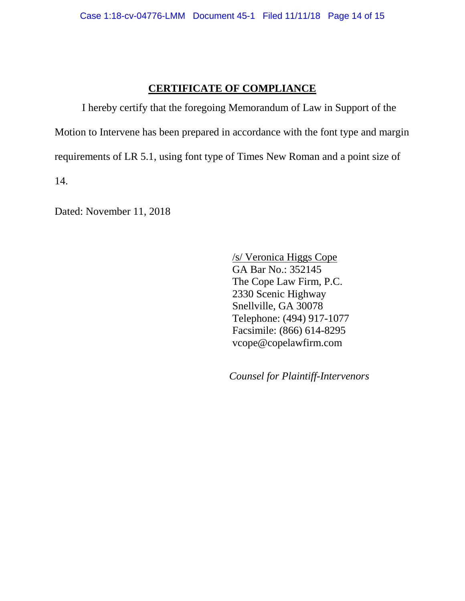### **CERTIFICATE OF COMPLIANCE**

I hereby certify that the foregoing Memorandum of Law in Support of the Motion to Intervene has been prepared in accordance with the font type and margin requirements of LR 5.1, using font type of Times New Roman and a point size of 14.

Dated: November 11, 2018

/s/ Veronica Higgs Cope GA Bar No.: 352145 The Cope Law Firm, P.C. 2330 Scenic Highway Snellville, GA 30078 Telephone: (494) 917-1077 Facsimile: (866) 614-8295 vcope@copelawfirm.com

*Counsel for Plaintiff-Intervenors*